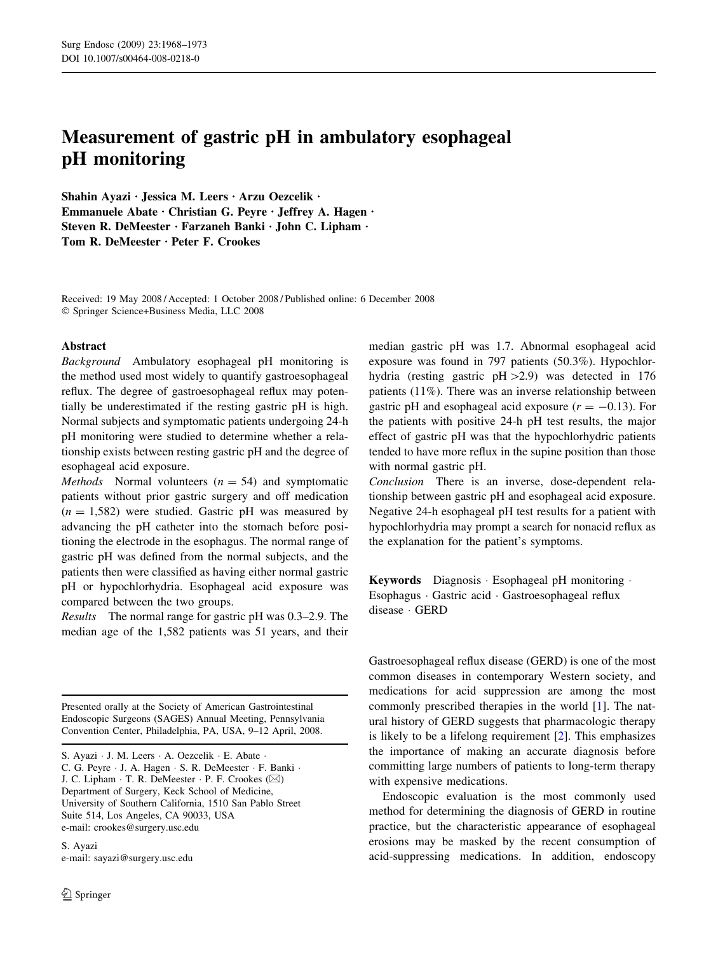# Measurement of gastric pH in ambulatory esophageal pH monitoring

Shahin Ayazi · Jessica M. Leers · Arzu Oezcelik · Emmanuele Abate · Christian G. Peyre · Jeffrey A. Hagen · Steven R. DeMeester · Farzaneh Banki · John C. Lipham · Tom R. DeMeester · Peter F. Crookes

Received: 19 May 2008 / Accepted: 1 October 2008 / Published online: 6 December 2008 Springer Science+Business Media, LLC 2008

## Abstract

Background Ambulatory esophageal pH monitoring is the method used most widely to quantify gastroesophageal reflux. The degree of gastroesophageal reflux may potentially be underestimated if the resting gastric pH is high. Normal subjects and symptomatic patients undergoing 24-h pH monitoring were studied to determine whether a relationship exists between resting gastric pH and the degree of esophageal acid exposure.

*Methods* Normal volunteers  $(n = 54)$  and symptomatic patients without prior gastric surgery and off medication  $(n = 1,582)$  were studied. Gastric pH was measured by advancing the pH catheter into the stomach before positioning the electrode in the esophagus. The normal range of gastric pH was defined from the normal subjects, and the patients then were classified as having either normal gastric pH or hypochlorhydria. Esophageal acid exposure was compared between the two groups.

Results The normal range for gastric pH was 0.3–2.9. The median age of the 1,582 patients was 51 years, and their

Presented orally at the Society of American Gastrointestinal Endoscopic Surgeons (SAGES) Annual Meeting, Pennsylvania Convention Center, Philadelphia, PA, USA, 9–12 April, 2008.

C. G. Peyre · J. A. Hagen · S. R. DeMeester · F. Banki · J. C. Lipham  $\cdot$  T. R. DeMeester  $\cdot$  P. F. Crookes ( $\boxtimes$ ) Department of Surgery, Keck School of Medicine, University of Southern California, 1510 San Pablo Street Suite 514, Los Angeles, CA 90033, USA e-mail: crookes@surgery.usc.edu

S. Ayazi e-mail: sayazi@surgery.usc.edu median gastric pH was 1.7. Abnormal esophageal acid exposure was found in 797 patients (50.3%). Hypochlorhydria (resting gastric  $pH > 2.9$ ) was detected in 176 patients (11%). There was an inverse relationship between gastric pH and esophageal acid exposure  $(r = -0.13)$ . For the patients with positive 24-h pH test results, the major effect of gastric pH was that the hypochlorhydric patients tended to have more reflux in the supine position than those with normal gastric pH.

Conclusion There is an inverse, dose-dependent relationship between gastric pH and esophageal acid exposure. Negative 24-h esophageal pH test results for a patient with hypochlorhydria may prompt a search for nonacid reflux as the explanation for the patient's symptoms.

**Keywords** Diagnosis  $\cdot$  Esophageal pH monitoring  $\cdot$ Esophagus · Gastric acid · Gastroesophageal reflux disease · GERD

Gastroesophageal reflux disease (GERD) is one of the most common diseases in contemporary Western society, and medications for acid suppression are among the most commonly prescribed therapies in the world [\[1](#page-4-0)]. The natural history of GERD suggests that pharmacologic therapy is likely to be a lifelong requirement [\[2\]](#page-4-0). This emphasizes the importance of making an accurate diagnosis before committing large numbers of patients to long-term therapy with expensive medications.

Endoscopic evaluation is the most commonly used method for determining the diagnosis of GERD in routine practice, but the characteristic appearance of esophageal erosions may be masked by the recent consumption of acid-suppressing medications. In addition, endoscopy

S. Ayazi · J. M. Leers · A. Oezcelik · E. Abate ·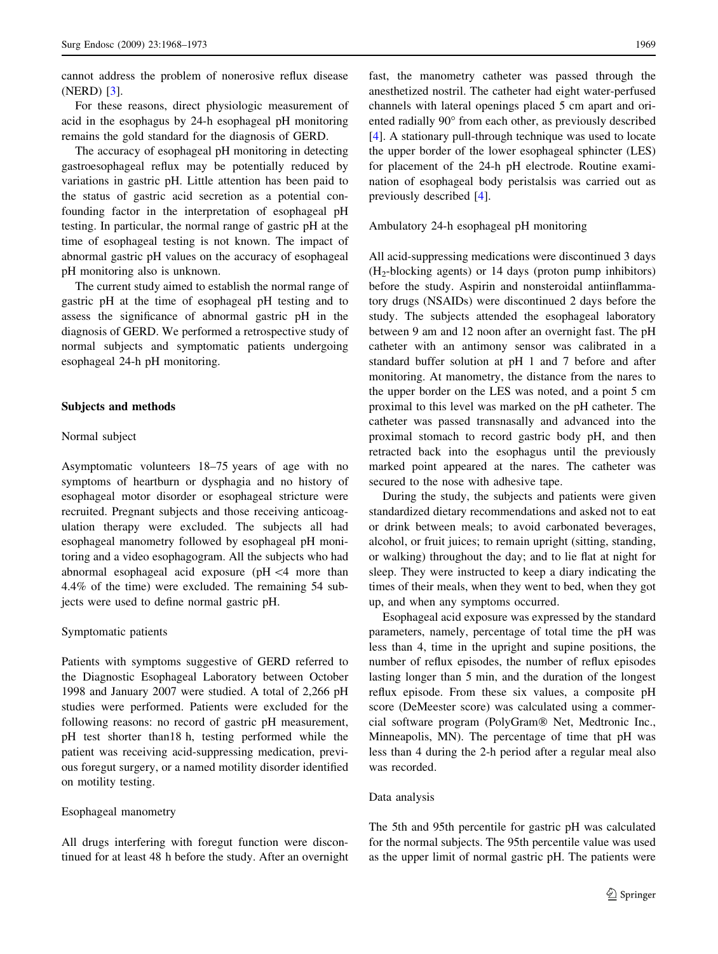cannot address the problem of nonerosive reflux disease (NERD) [\[3](#page-4-0)].

For these reasons, direct physiologic measurement of acid in the esophagus by 24-h esophageal pH monitoring remains the gold standard for the diagnosis of GERD.

The accuracy of esophageal pH monitoring in detecting gastroesophageal reflux may be potentially reduced by variations in gastric pH. Little attention has been paid to the status of gastric acid secretion as a potential confounding factor in the interpretation of esophageal pH testing. In particular, the normal range of gastric pH at the time of esophageal testing is not known. The impact of abnormal gastric pH values on the accuracy of esophageal pH monitoring also is unknown.

The current study aimed to establish the normal range of gastric pH at the time of esophageal pH testing and to assess the significance of abnormal gastric pH in the diagnosis of GERD. We performed a retrospective study of normal subjects and symptomatic patients undergoing esophageal 24-h pH monitoring.

## Subjects and methods

#### Normal subject

Asymptomatic volunteers 18–75 years of age with no symptoms of heartburn or dysphagia and no history of esophageal motor disorder or esophageal stricture were recruited. Pregnant subjects and those receiving anticoagulation therapy were excluded. The subjects all had esophageal manometry followed by esophageal pH monitoring and a video esophagogram. All the subjects who had abnormal esophageal acid exposure ( $pH \leq 4$  more than 4.4% of the time) were excluded. The remaining 54 subjects were used to define normal gastric pH.

### Symptomatic patients

Patients with symptoms suggestive of GERD referred to the Diagnostic Esophageal Laboratory between October 1998 and January 2007 were studied. A total of 2,266 pH studies were performed. Patients were excluded for the following reasons: no record of gastric pH measurement, pH test shorter than18 h, testing performed while the patient was receiving acid-suppressing medication, previous foregut surgery, or a named motility disorder identified on motility testing.

#### Esophageal manometry

All drugs interfering with foregut function were discontinued for at least 48 h before the study. After an overnight fast, the manometry catheter was passed through the anesthetized nostril. The catheter had eight water-perfused channels with lateral openings placed 5 cm apart and oriented radially 90° from each other, as previously described [\[4](#page-4-0)]. A stationary pull-through technique was used to locate the upper border of the lower esophageal sphincter (LES) for placement of the 24-h pH electrode. Routine examination of esophageal body peristalsis was carried out as previously described [[4\]](#page-4-0).

Ambulatory 24-h esophageal pH monitoring

All acid-suppressing medications were discontinued 3 days  $(H<sub>2</sub>-blocking agents)$  or 14 days (proton pump inhibitors) before the study. Aspirin and nonsteroidal antiinflammatory drugs (NSAIDs) were discontinued 2 days before the study. The subjects attended the esophageal laboratory between 9 am and 12 noon after an overnight fast. The pH catheter with an antimony sensor was calibrated in a standard buffer solution at pH 1 and 7 before and after monitoring. At manometry, the distance from the nares to the upper border on the LES was noted, and a point 5 cm proximal to this level was marked on the pH catheter. The catheter was passed transnasally and advanced into the proximal stomach to record gastric body pH, and then retracted back into the esophagus until the previously marked point appeared at the nares. The catheter was secured to the nose with adhesive tape.

During the study, the subjects and patients were given standardized dietary recommendations and asked not to eat or drink between meals; to avoid carbonated beverages, alcohol, or fruit juices; to remain upright (sitting, standing, or walking) throughout the day; and to lie flat at night for sleep. They were instructed to keep a diary indicating the times of their meals, when they went to bed, when they got up, and when any symptoms occurred.

Esophageal acid exposure was expressed by the standard parameters, namely, percentage of total time the pH was less than 4, time in the upright and supine positions, the number of reflux episodes, the number of reflux episodes lasting longer than 5 min, and the duration of the longest reflux episode. From these six values, a composite pH score (DeMeester score) was calculated using a commercial software program (PolyGram<sup>®</sup> Net, Medtronic Inc., Minneapolis, MN). The percentage of time that pH was less than 4 during the 2-h period after a regular meal also was recorded.

#### Data analysis

The 5th and 95th percentile for gastric pH was calculated for the normal subjects. The 95th percentile value was used as the upper limit of normal gastric pH. The patients were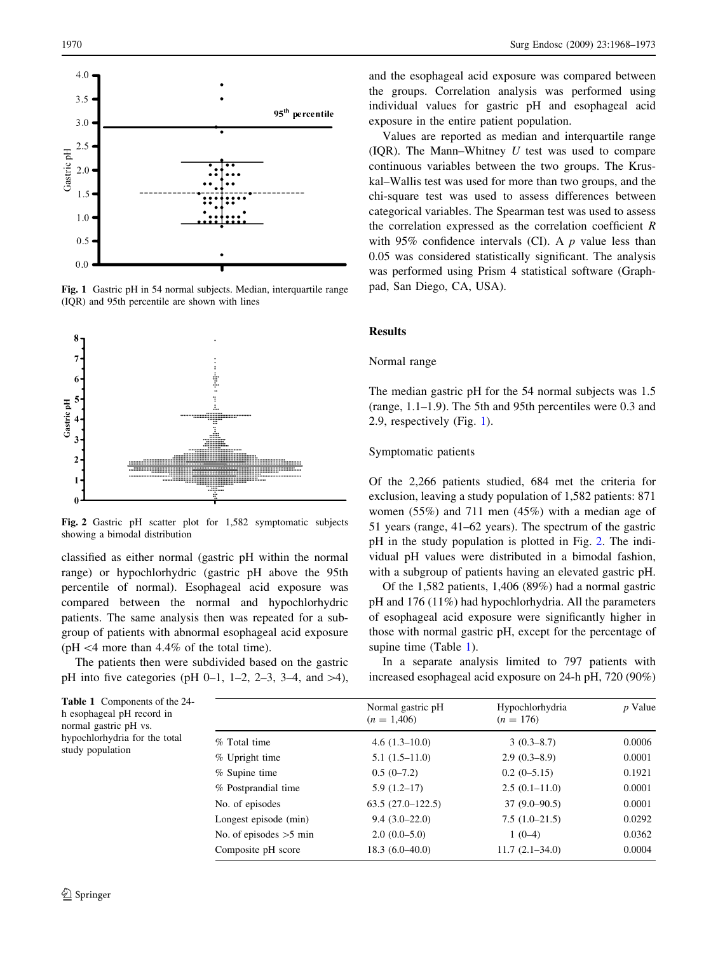<span id="page-2-0"></span>

Fig. 1 Gastric pH in 54 normal subjects. Median, interquartile range (IQR) and 95th percentile are shown with lines



Fig. 2 Gastric pH scatter plot for 1,582 symptomatic subjects showing a bimodal distribution

classified as either normal (gastric pH within the normal range) or hypochlorhydric (gastric pH above the 95th percentile of normal). Esophageal acid exposure was compared between the normal and hypochlorhydric patients. The same analysis then was repeated for a subgroup of patients with abnormal esophageal acid exposure ( $pH \leq 4$  more than 4.4% of the total time).

The patients then were subdivided based on the gastric pH into five categories (pH 0–1, 1–2, 2–3, 3–4, and  $>4$ ),

and the esophageal acid exposure was compared between the groups. Correlation analysis was performed using individual values for gastric pH and esophageal acid exposure in the entire patient population.

Values are reported as median and interquartile range (IQR). The Mann–Whitney  $U$  test was used to compare continuous variables between the two groups. The Kruskal–Wallis test was used for more than two groups, and the chi-square test was used to assess differences between categorical variables. The Spearman test was used to assess the correlation expressed as the correlation coefficient  $R$ with 95% confidence intervals (CI). A  $p$  value less than 0.05 was considered statistically significant. The analysis was performed using Prism 4 statistical software (Graphpad, San Diego, CA, USA).

## Results

#### Normal range

The median gastric pH for the 54 normal subjects was 1.5 (range, 1.1–1.9). The 5th and 95th percentiles were 0.3 and 2.9, respectively (Fig. 1).

# Symptomatic patients

Of the 2,266 patients studied, 684 met the criteria for exclusion, leaving a study population of 1,582 patients: 871 women (55%) and 711 men (45%) with a median age of 51 years (range, 41–62 years). The spectrum of the gastric pH in the study population is plotted in Fig. 2. The individual pH values were distributed in a bimodal fashion, with a subgroup of patients having an elevated gastric pH.

Of the 1,582 patients, 1,406 (89%) had a normal gastric pH and 176 (11%) had hypochlorhydria. All the parameters of esophageal acid exposure were significantly higher in those with normal gastric pH, except for the percentage of supine time (Table 1).

In a separate analysis limited to 797 patients with increased esophageal acid exposure on 24-h pH, 720 (90%)

| <b>Table 1</b> Components of the 24-<br>h esophageal pH record in<br>normal gastric pH vs.<br>hypochlorhydria for the total<br>study population |                          | Normal gastric pH<br>$(n = 1,406)$ | Hypochlorhydria<br>$(n = 176)$ | $p$ Value |
|-------------------------------------------------------------------------------------------------------------------------------------------------|--------------------------|------------------------------------|--------------------------------|-----------|
|                                                                                                                                                 | % Total time             | $4.6(1.3-10.0)$                    | $3(0.3-8.7)$                   | 0.0006    |
|                                                                                                                                                 | % Upright time           | $5.1(1.5-11.0)$                    | $2.9(0.3-8.9)$                 | 0.0001    |
|                                                                                                                                                 | $%$ Supine time          | $0.5(0-7.2)$                       | $0.2(0-5.15)$                  | 0.1921    |
|                                                                                                                                                 | % Postprandial time      | $5.9(1.2-17)$                      | $2.5(0.1-11.0)$                | 0.0001    |
|                                                                                                                                                 | No. of episodes          | $63.5(27.0-122.5)$                 | $37(9.0-90.5)$                 | 0.0001    |
|                                                                                                                                                 | Longest episode (min)    | $9.4(3.0-22.0)$                    | $7.5(1.0-21.5)$                | 0.0292    |
|                                                                                                                                                 | No. of episodes $>5$ min | $2.0(0.0-5.0)$                     | $1(0-4)$                       | 0.0362    |
|                                                                                                                                                 | Composite pH score       | $18.3(6.0-40.0)$                   | $11.7(2.1 - 34.0)$             | 0.0004    |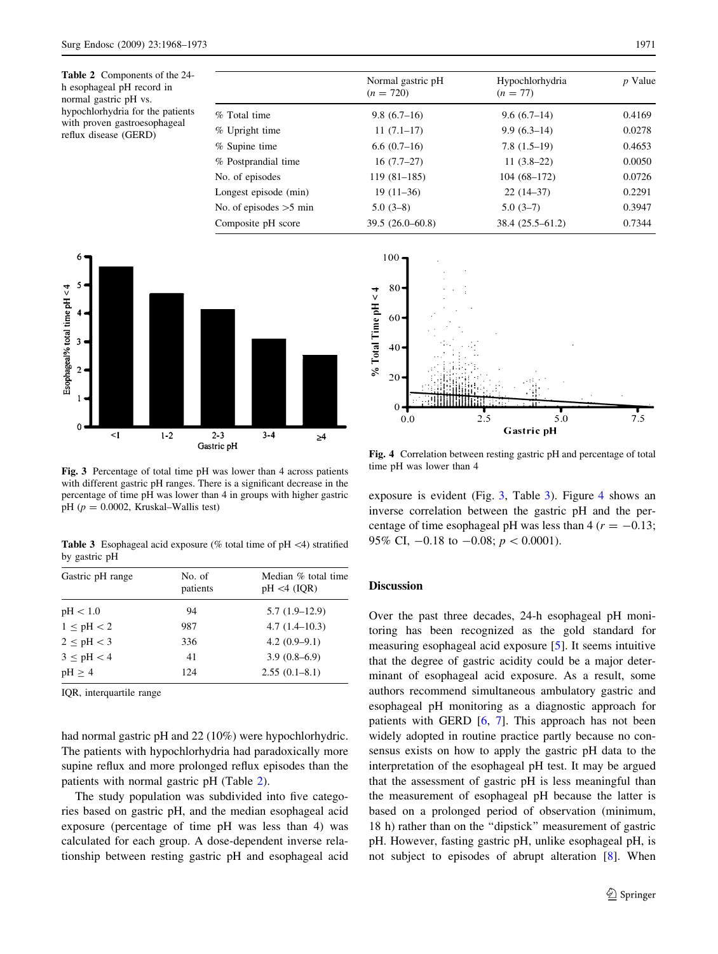Table 2 Components of the 24 h esophageal pH record in normal gastric pH vs. hypochlorhydria for the patients with proven gastroesophageal reflux disease (GERD)

|                          | Normal gastric pH<br>$(n = 720)$ | Hypochlorhydria<br>$(n = 77)$ | $p$ Value |  |
|--------------------------|----------------------------------|-------------------------------|-----------|--|
| % Total time             | $9.8(6.7-16)$                    | $9.6(6.7-14)$                 | 0.4169    |  |
| % Upright time           | $11(7.1-17)$                     | $9.9(6.3-14)$                 | 0.0278    |  |
| % Supine time            | $6.6(0.7-16)$                    | $7.8(1.5-19)$                 | 0.4653    |  |
| % Postprandial time      | $16(7.7-27)$                     | $11(3.8-22)$                  | 0.0050    |  |
| No. of episodes          | $119(81-185)$                    | $104(68-172)$                 | 0.0726    |  |
| Longest episode (min)    | $19(11-36)$                      | $22(14-37)$                   | 0.2291    |  |
| No. of episodes $>5$ min | $5.0(3-8)$                       | $5.0(3-7)$                    | 0.3947    |  |
| Composite pH score       | $39.5(26.0-60.8)$                | $38.4(25.5-61.2)$             | 0.7344    |  |
|                          |                                  |                               |           |  |

100



Fig. 3 Percentage of total time pH was lower than 4 across patients with different gastric pH ranges. There is a significant decrease in the percentage of time pH was lower than 4 in groups with higher gastric pH ( $p = 0.0002$ , Kruskal–Wallis test)

**Table 3** Esophageal acid exposure (% total time of pH  $\lt$ 4) stratified by gastric pH

| Gastric pH range | No. of<br>patients | Median % total time<br>$pH < 4$ (IOR) |
|------------------|--------------------|---------------------------------------|
| pH < 1.0         | 94                 | $5.7(1.9-12.9)$                       |
| $1 \leq pH < 2$  | 987                | $4.7(1.4-10.3)$                       |
| $2 \leq pH < 3$  | 336                | $4.2(0.9-9.1)$                        |
| $3 \leq pH < 4$  | 41                 | $3.9(0.8-6.9)$                        |
| $pH \geq 4$      | 124                | $2.55(0.1 - 8.1)$                     |

IQR, interquartile range

had normal gastric pH and 22 (10%) were hypochlorhydric. The patients with hypochlorhydria had paradoxically more supine reflux and more prolonged reflux episodes than the patients with normal gastric pH (Table 2).

The study population was subdivided into five categories based on gastric pH, and the median esophageal acid exposure (percentage of time pH was less than 4) was calculated for each group. A dose-dependent inverse relationship between resting gastric pH and esophageal acid



Fig. 4 Correlation between resting gastric pH and percentage of total time pH was lower than 4

exposure is evident (Fig. 3, Table 3). Figure 4 shows an inverse correlation between the gastric pH and the percentage of time esophageal pH was less than  $4 (r = -0.13;$ 95% CI,  $-0.18$  to  $-0.08$ ;  $p < 0.0001$ ).

## Discussion

Over the past three decades, 24-h esophageal pH monitoring has been recognized as the gold standard for measuring esophageal acid exposure [\[5](#page-4-0)]. It seems intuitive that the degree of gastric acidity could be a major determinant of esophageal acid exposure. As a result, some authors recommend simultaneous ambulatory gastric and esophageal pH monitoring as a diagnostic approach for patients with GERD [\[6](#page-4-0), [7](#page-4-0)]. This approach has not been widely adopted in routine practice partly because no consensus exists on how to apply the gastric pH data to the interpretation of the esophageal pH test. It may be argued that the assessment of gastric pH is less meaningful than the measurement of esophageal pH because the latter is based on a prolonged period of observation (minimum, 18 h) rather than on the ''dipstick'' measurement of gastric pH. However, fasting gastric pH, unlike esophageal pH, is not subject to episodes of abrupt alteration [[8\]](#page-4-0). When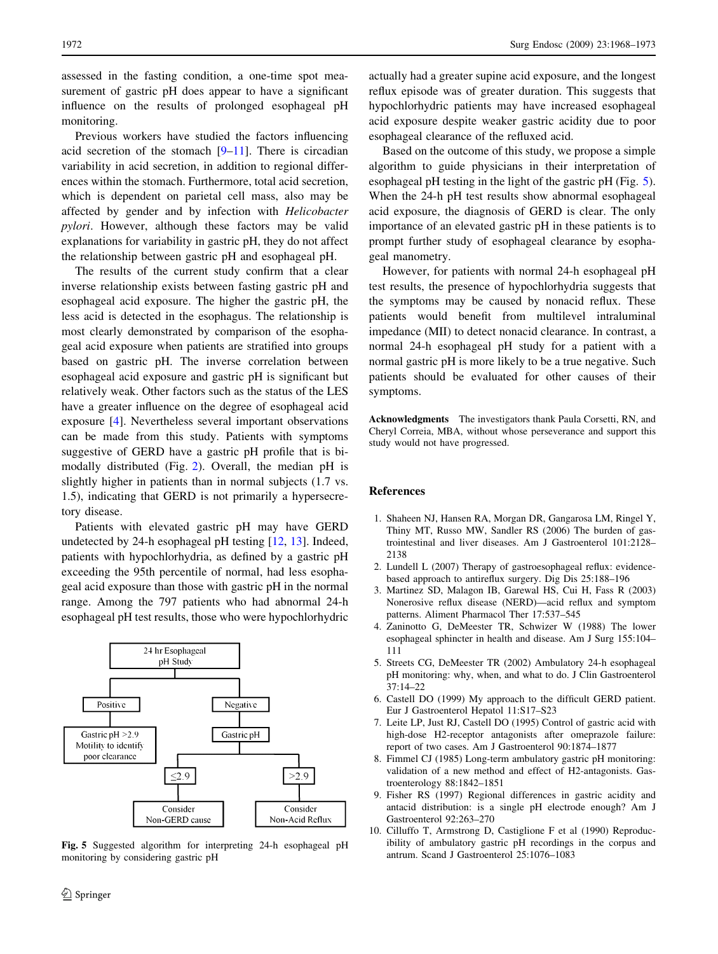<span id="page-4-0"></span>assessed in the fasting condition, a one-time spot measurement of gastric pH does appear to have a significant influence on the results of prolonged esophageal pH monitoring.

Previous workers have studied the factors influencing acid secretion of the stomach  $[9-11]$ . There is circadian variability in acid secretion, in addition to regional differences within the stomach. Furthermore, total acid secretion, which is dependent on parietal cell mass, also may be affected by gender and by infection with Helicobacter pylori. However, although these factors may be valid explanations for variability in gastric pH, they do not affect the relationship between gastric pH and esophageal pH.

The results of the current study confirm that a clear inverse relationship exists between fasting gastric pH and esophageal acid exposure. The higher the gastric pH, the less acid is detected in the esophagus. The relationship is most clearly demonstrated by comparison of the esophageal acid exposure when patients are stratified into groups based on gastric pH. The inverse correlation between esophageal acid exposure and gastric pH is significant but relatively weak. Other factors such as the status of the LES have a greater influence on the degree of esophageal acid exposure [4]. Nevertheless several important observations can be made from this study. Patients with symptoms suggestive of GERD have a gastric pH profile that is bimodally distributed (Fig. [2](#page-2-0)). Overall, the median pH is slightly higher in patients than in normal subjects (1.7 vs. 1.5), indicating that GERD is not primarily a hypersecretory disease.

Patients with elevated gastric pH may have GERD undetected by 24-h esophageal pH testing [[12,](#page-5-0) [13\]](#page-5-0). Indeed, patients with hypochlorhydria, as defined by a gastric pH exceeding the 95th percentile of normal, had less esophageal acid exposure than those with gastric pH in the normal range. Among the 797 patients who had abnormal 24-h esophageal pH test results, those who were hypochlorhydric



Fig. 5 Suggested algorithm for interpreting 24-h esophageal pH monitoring by considering gastric pH

actually had a greater supine acid exposure, and the longest reflux episode was of greater duration. This suggests that hypochlorhydric patients may have increased esophageal acid exposure despite weaker gastric acidity due to poor esophageal clearance of the refluxed acid.

Based on the outcome of this study, we propose a simple algorithm to guide physicians in their interpretation of esophageal pH testing in the light of the gastric pH (Fig. 5). When the 24-h pH test results show abnormal esophageal acid exposure, the diagnosis of GERD is clear. The only importance of an elevated gastric pH in these patients is to prompt further study of esophageal clearance by esophageal manometry.

However, for patients with normal 24-h esophageal pH test results, the presence of hypochlorhydria suggests that the symptoms may be caused by nonacid reflux. These patients would benefit from multilevel intraluminal impedance (MII) to detect nonacid clearance. In contrast, a normal 24-h esophageal pH study for a patient with a normal gastric pH is more likely to be a true negative. Such patients should be evaluated for other causes of their symptoms.

Acknowledgments The investigators thank Paula Corsetti, RN, and Cheryl Correia, MBA, without whose perseverance and support this study would not have progressed.

#### References

- 1. Shaheen NJ, Hansen RA, Morgan DR, Gangarosa LM, Ringel Y, Thiny MT, Russo MW, Sandler RS (2006) The burden of gastrointestinal and liver diseases. Am J Gastroenterol 101:2128– 2138
- 2. Lundell L (2007) Therapy of gastroesophageal reflux: evidencebased approach to antireflux surgery. Dig Dis 25:188–196
- 3. Martinez SD, Malagon IB, Garewal HS, Cui H, Fass R (2003) Nonerosive reflux disease (NERD)—acid reflux and symptom patterns. Aliment Pharmacol Ther 17:537–545
- 4. Zaninotto G, DeMeester TR, Schwizer W (1988) The lower esophageal sphincter in health and disease. Am J Surg 155:104– 111
- 5. Streets CG, DeMeester TR (2002) Ambulatory 24-h esophageal pH monitoring: why, when, and what to do. J Clin Gastroenterol 37:14–22
- 6. Castell DO (1999) My approach to the difficult GERD patient. Eur J Gastroenterol Hepatol 11:S17–S23
- 7. Leite LP, Just RJ, Castell DO (1995) Control of gastric acid with high-dose H2-receptor antagonists after omeprazole failure: report of two cases. Am J Gastroenterol 90:1874–1877
- 8. Fimmel CJ (1985) Long-term ambulatory gastric pH monitoring: validation of a new method and effect of H2-antagonists. Gastroenterology 88:1842–1851
- 9. Fisher RS (1997) Regional differences in gastric acidity and antacid distribution: is a single pH electrode enough? Am J Gastroenterol 92:263–270
- 10. Cilluffo T, Armstrong D, Castiglione F et al (1990) Reproducibility of ambulatory gastric pH recordings in the corpus and antrum. Scand J Gastroenterol 25:1076–1083